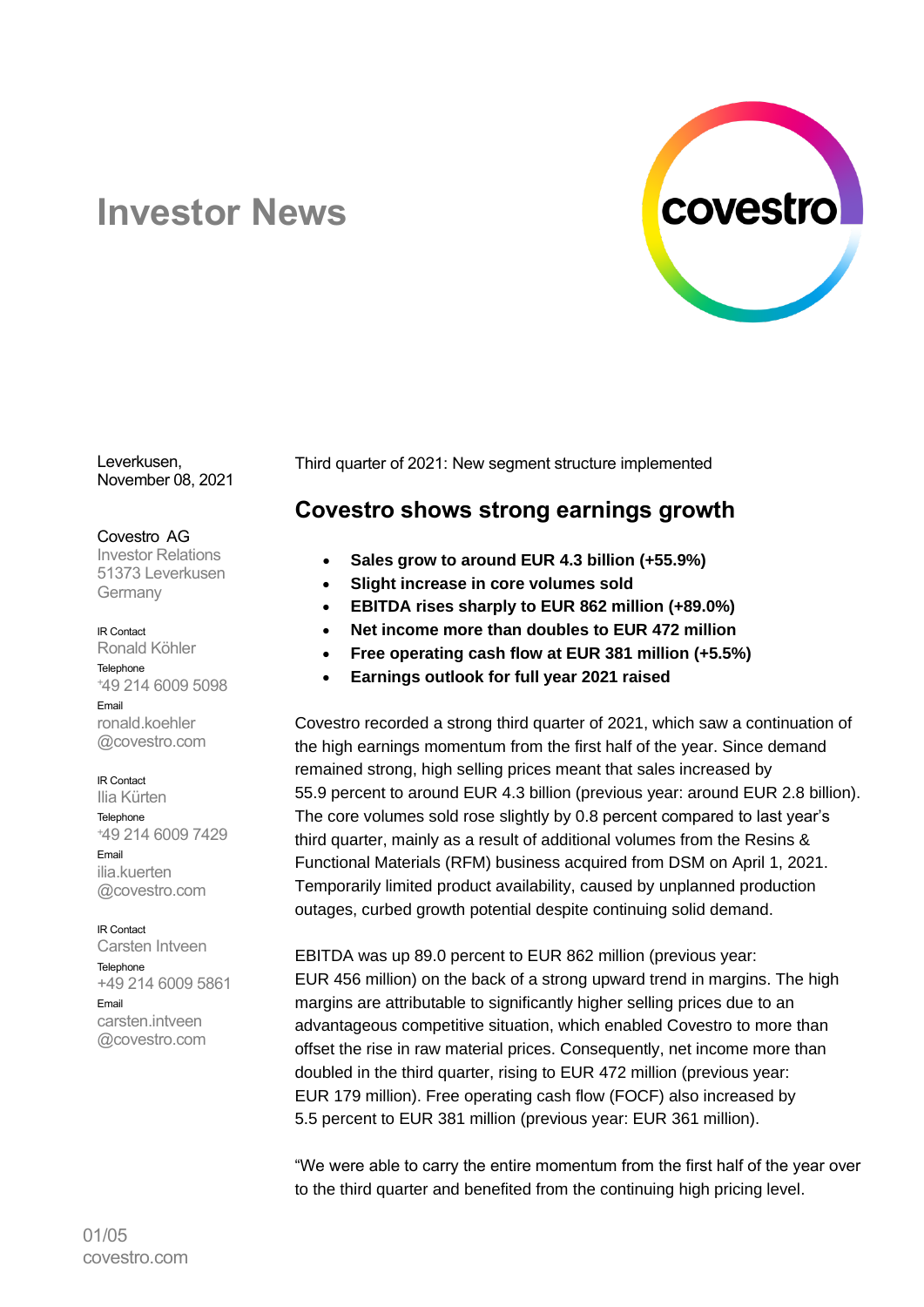

# **Investor News**

Leverkusen, November 08, 2021

#### Covestro AG

Investor Relations 51373 Leverkusen Germany

#### IR Contact

Ronald Köhler Telephone <sup>+</sup>49 214 6009 5098 Email ronald.koehler @covestro.com

#### IR Contact

Ilia Kürten **Telephone** <sup>+</sup>49 214 6009 7429 Email ilia.kuerten @covestro.com

## IR Contact

Carsten Intveen Telephone +49 214 6009 5861 Email carsten.intveen @covestro.com

Third quarter of 2021: New segment structure implemented

## **Covestro shows strong earnings growth**

- **Sales grow to around EUR 4.3 billion (+55.9%)**
- **Slight increase in core volumes sold**
- **EBITDA rises sharply to EUR 862 million (+89.0%)**
- **Net income more than doubles to EUR 472 million**
- **Free operating cash flow at EUR 381 million (+5.5%)**
- **Earnings outlook for full year 2021 raised**

Covestro recorded a strong third quarter of 2021, which saw a continuation of the high earnings momentum from the first half of the year. Since demand remained strong, high selling prices meant that sales increased by 55.9 percent to around EUR 4.3 billion (previous year: around EUR 2.8 billion). The core volumes sold rose slightly by 0.8 percent compared to last year's third quarter, mainly as a result of additional volumes from the Resins & Functional Materials (RFM) business acquired from DSM on April 1, 2021. Temporarily limited product availability, caused by unplanned production outages, curbed growth potential despite continuing solid demand.

EBITDA was up 89.0 percent to EUR 862 million (previous year: EUR 456 million) on the back of a strong upward trend in margins. The high margins are attributable to significantly higher selling prices due to an advantageous competitive situation, which enabled Covestro to more than offset the rise in raw material prices. Consequently, net income more than doubled in the third quarter, rising to EUR 472 million (previous year: EUR 179 million). Free operating cash flow (FOCF) also increased by 5.5 percent to EUR 381 million (previous year: EUR 361 million).

"We were able to carry the entire momentum from the first half of the year over to the third quarter and benefited from the continuing high pricing level.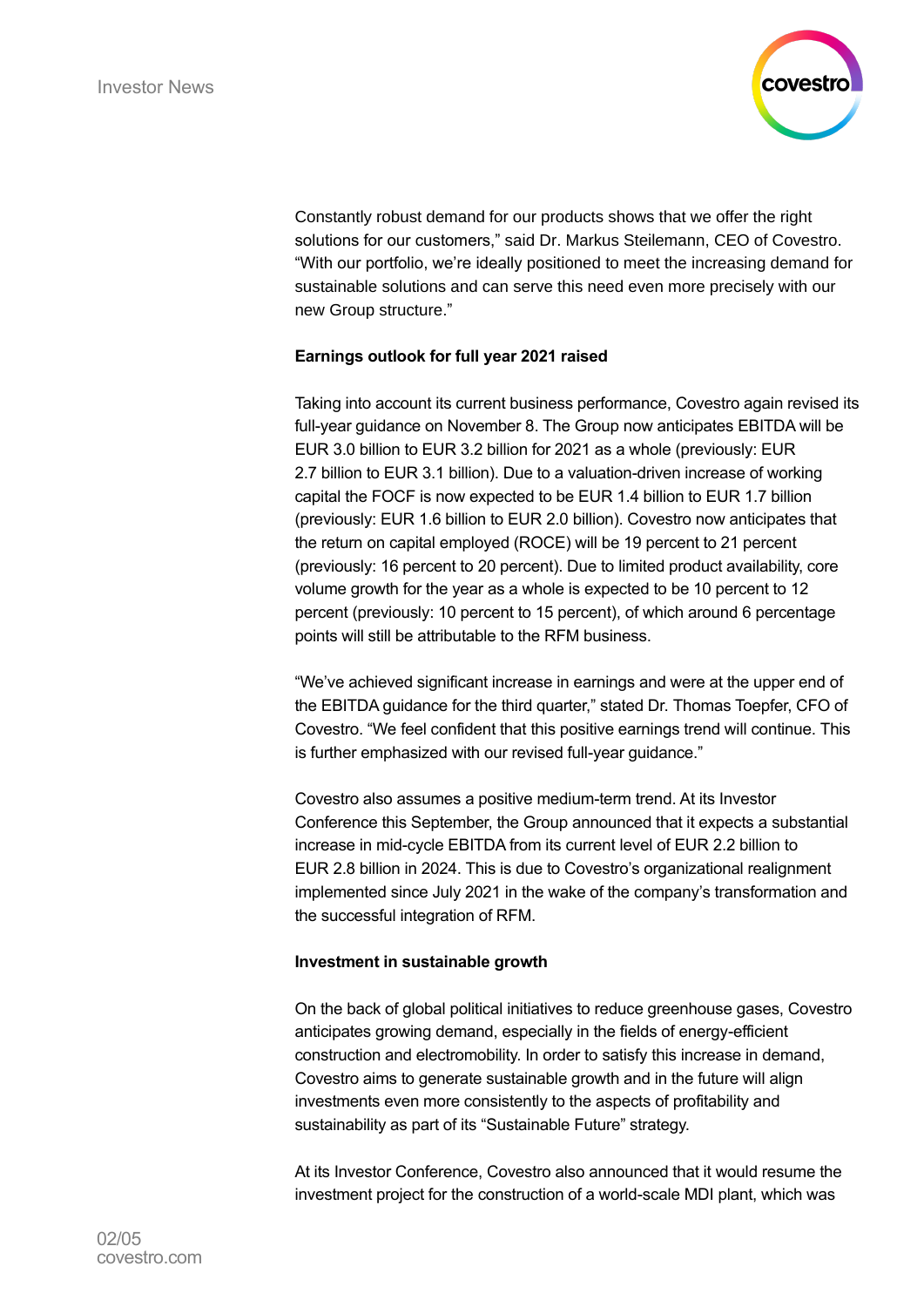

Constantly robust demand for our products shows that we offer the right solutions for our customers," said Dr. Markus Steilemann, CEO of Covestro. "With our portfolio, we're ideally positioned to meet the increasing demand for sustainable solutions and can serve this need even more precisely with our new Group structure."

## **Earnings outlook for full year 2021 raised**

Taking into account its current business performance, Covestro again revised its full-year guidance on November 8. The Group now anticipates EBITDA will be EUR 3.0 billion to EUR 3.2 billion for 2021 as a whole (previously: EUR 2.7 billion to EUR 3.1 billion). Due to a valuation-driven increase of working capital the FOCF is now expected to be EUR 1.4 billion to EUR 1.7 billion (previously: EUR 1.6 billion to EUR 2.0 billion). Covestro now anticipates that the return on capital employed (ROCE) will be 19 percent to 21 percent (previously: 16 percent to 20 percent). Due to limited product availability, core volume growth for the year as a whole is expected to be 10 percent to 12 percent (previously: 10 percent to 15 percent), of which around 6 percentage points will still be attributable to the RFM business.

"We've achieved significant increase in earnings and were at the upper end of the EBITDA guidance for the third quarter," stated Dr. Thomas Toepfer, CFO of Covestro. "We feel confident that this positive earnings trend will continue. This is further emphasized with our revised full-year guidance."

Covestro also assumes a positive medium-term trend. At its Investor Conference this September, the Group announced that it expects a substantial increase in mid-cycle EBITDA from its current level of EUR 2.2 billion to EUR 2.8 billion in 2024. This is due to Covestro's organizational realignment implemented since July 2021 in the wake of the company's transformation and the successful integration of RFM.

## **Investment in sustainable growth**

On the back of global political initiatives to reduce greenhouse gases, Covestro anticipates growing demand, especially in the fields of energy-efficient construction and electromobility. In order to satisfy this increase in demand, Covestro aims to generate sustainable growth and in the future will align investments even more consistently to the aspects of profitability and sustainability as part of its "Sustainable Future" strategy.

At its Investor Conference, Covestro also announced that it would resume the investment project for the construction of a world-scale MDI plant, which was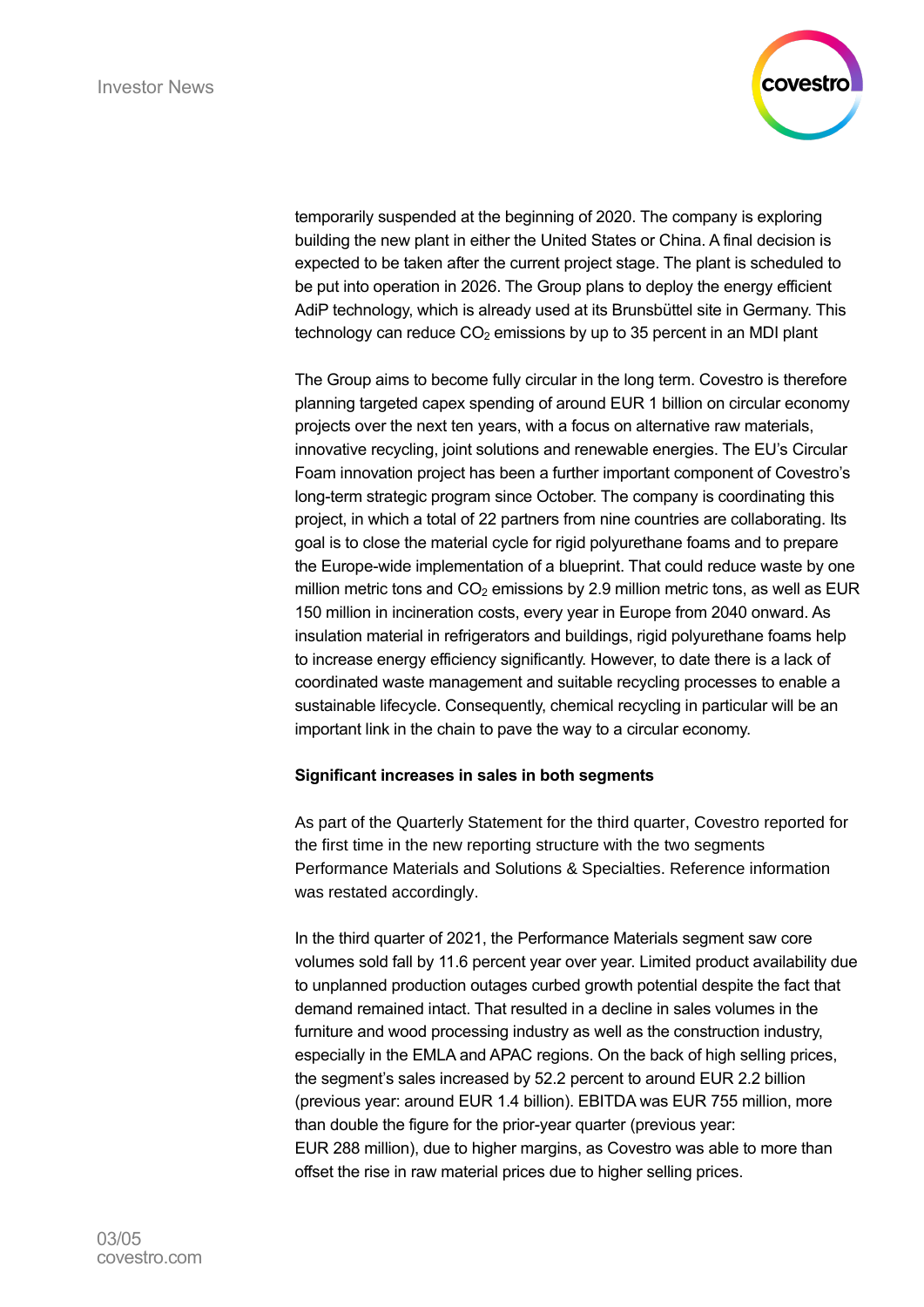

temporarily suspended at the beginning of 2020. The company is exploring building the new plant in either the United States or China. A final decision is expected to be taken after the current project stage. The plant is scheduled to be put into operation in 2026. The Group plans to deploy the energy efficient AdiP technology, which is already used at its Brunsbüttel site in Germany. This technology can reduce  $CO<sub>2</sub>$  emissions by up to 35 percent in an MDI plant

The Group aims to become fully circular in the long term. Covestro is therefore planning targeted capex spending of around EUR 1 billion on circular economy projects over the next ten years, with a focus on alternative raw materials, innovative recycling, joint solutions and renewable energies. The EU's Circular Foam innovation project has been a further important component of Covestro's long-term strategic program since October. The company is coordinating this project, in which a total of 22 partners from nine countries are collaborating. Its goal is to close the material cycle for rigid polyurethane foams and to prepare the Europe-wide implementation of a blueprint. That could reduce waste by one million metric tons and  $CO<sub>2</sub>$  emissions by 2.9 million metric tons, as well as EUR 150 million in incineration costs, every year in Europe from 2040 onward. As insulation material in refrigerators and buildings, rigid polyurethane foams help to increase energy efficiency significantly. However, to date there is a lack of coordinated waste management and suitable recycling processes to enable a sustainable lifecycle. Consequently, chemical recycling in particular will be an important link in the chain to pave the way to a circular economy.

## **Significant increases in sales in both segments**

As part of the Quarterly Statement for the third quarter, Covestro reported for the first time in the new reporting structure with the two segments Performance Materials and Solutions & Specialties. Reference information was restated accordingly.

In the third quarter of 2021, the Performance Materials segment saw core volumes sold fall by 11.6 percent year over year. Limited product availability due to unplanned production outages curbed growth potential despite the fact that demand remained intact. That resulted in a decline in sales volumes in the furniture and wood processing industry as well as the construction industry, especially in the EMLA and APAC regions. On the back of high selling prices, the segment's sales increased by 52.2 percent to around EUR 2.2 billion (previous year: around EUR 1.4 billion). EBITDA was EUR 755 million, more than double the figure for the prior-year quarter (previous year: EUR 288 million), due to higher margins, as Covestro was able to more than offset the rise in raw material prices due to higher selling prices.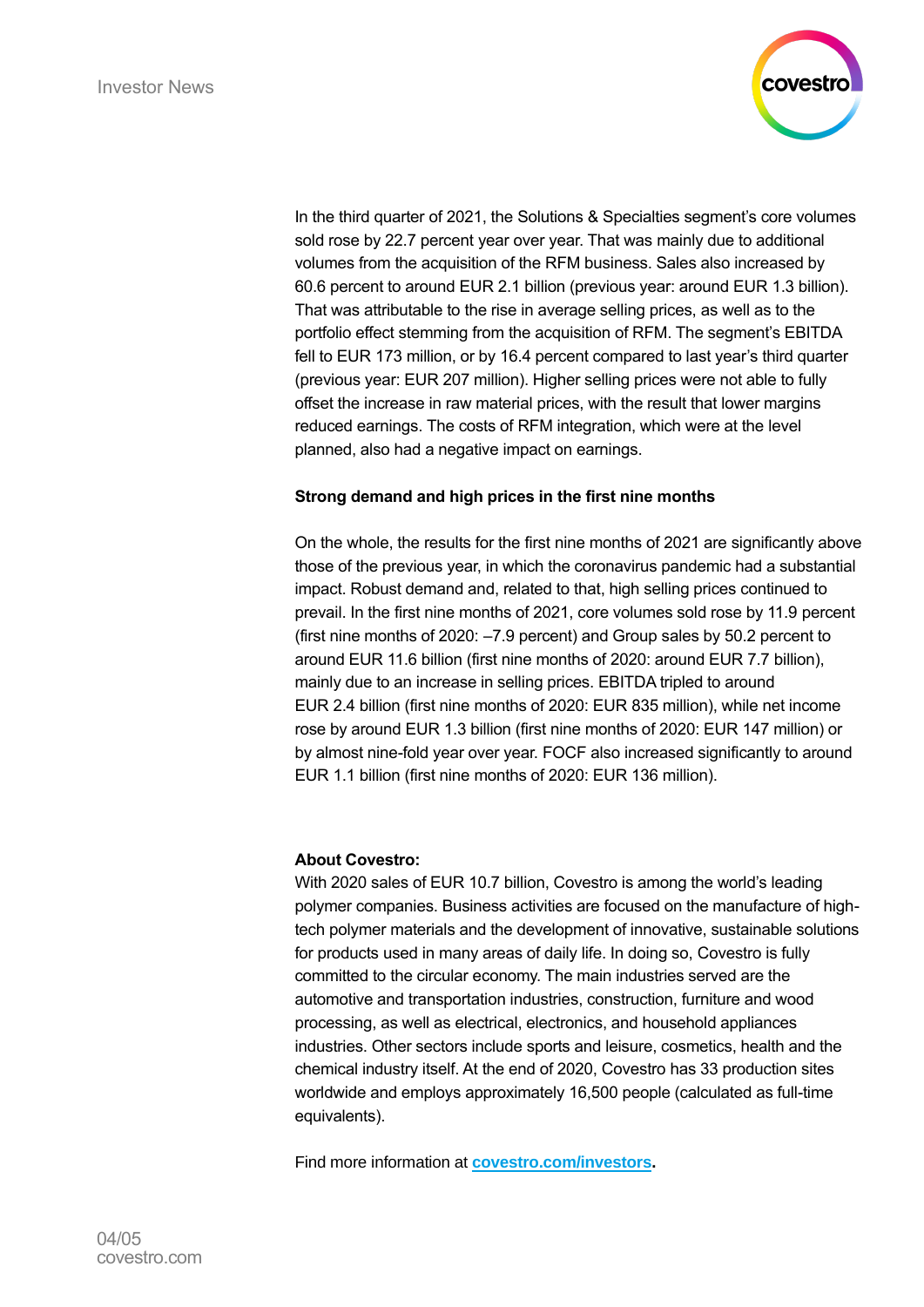

In the third quarter of 2021, the Solutions & Specialties segment's core volumes sold rose by 22.7 percent year over year. That was mainly due to additional volumes from the acquisition of the RFM business. Sales also increased by 60.6 percent to around EUR 2.1 billion (previous year: around EUR 1.3 billion). That was attributable to the rise in average selling prices, as well as to the portfolio effect stemming from the acquisition of RFM. The segment's EBITDA fell to EUR 173 million, or by 16.4 percent compared to last year's third quarter (previous year: EUR 207 million). Higher selling prices were not able to fully offset the increase in raw material prices, with the result that lower margins reduced earnings. The costs of RFM integration, which were at the level planned, also had a negative impact on earnings.

## **Strong demand and high prices in the first nine months**

On the whole, the results for the first nine months of 2021 are significantly above those of the previous year, in which the coronavirus pandemic had a substantial impact. Robust demand and, related to that, high selling prices continued to prevail. In the first nine months of 2021, core volumes sold rose by 11.9 percent (first nine months of 2020: –7.9 percent) and Group sales by 50.2 percent to around EUR 11.6 billion (first nine months of 2020: around EUR 7.7 billion), mainly due to an increase in selling prices. EBITDA tripled to around EUR 2.4 billion (first nine months of 2020: EUR 835 million), while net income rose by around EUR 1.3 billion (first nine months of 2020: EUR 147 million) or by almost nine-fold year over year. FOCF also increased significantly to around EUR 1.1 billion (first nine months of 2020: EUR 136 million).

## **About Covestro:**

With 2020 sales of EUR 10.7 billion, Covestro is among the world's leading polymer companies. Business activities are focused on the manufacture of hightech polymer materials and the development of innovative, sustainable solutions for products used in many areas of daily life. In doing so, Covestro is fully committed to the circular economy. The main industries served are the automotive and transportation industries, construction, furniture and wood processing, as well as electrical, electronics, and household appliances industries. Other sectors include sports and leisure, cosmetics, health and the chemical industry itself. At the end of 2020, Covestro has 33 production sites worldwide and employs approximately 16,500 people (calculated as full-time equivalents).

Find more information at **[covestro.com/investors.](https://www.covestro.com/en/investors)**